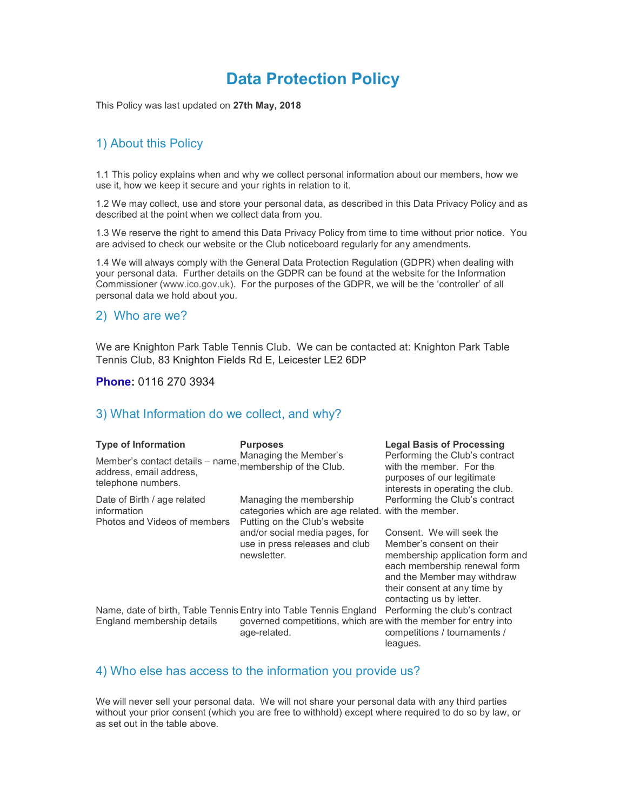# Data Protection Policy

This Policy was last updated on 27th May, 2018

## 1) About this Policy

1.1 This policy explains when and why we collect personal information about our members, how we use it, how we keep it secure and your rights in relation to it.

1.2 We may collect, use and store your personal data, as described in this Data Privacy Policy and as described at the point when we collect data from you.

1.3 We reserve the right to amend this Data Privacy Policy from time to time without prior notice. You are advised to check our website or the Club noticeboard regularly for any amendments.

1.4 We will always comply with the General Data Protection Regulation (GDPR) when dealing with your personal data. Further details on the GDPR can be found at the website for the Information Commissioner (www.ico.gov.uk). For the purposes of the GDPR, we will be the 'controller' of all personal data we hold about you.

#### 2) Who are we?

We are Knighton Park Table Tennis Club. We can be contacted at: Knighton Park Table Tennis Club, 83 Knighton Fields Rd E, Leicester LE2 6DP

#### Phone: 0116 270 3934

#### 3) What Information do we collect, and why?

| <b>Type of Information</b>                                                                                | <b>Purposes</b><br>Managing the Member's                                                                       | <b>Legal Basis of Processing</b><br>Performing the Club's contract                                                                                                                                                   |
|-----------------------------------------------------------------------------------------------------------|----------------------------------------------------------------------------------------------------------------|----------------------------------------------------------------------------------------------------------------------------------------------------------------------------------------------------------------------|
| Member's contact details – name, membership of the Club.<br>address, email address,<br>telephone numbers. |                                                                                                                | with the member. For the<br>purposes of our legitimate<br>interests in operating the club.                                                                                                                           |
| Date of Birth / age related<br>information<br>Photos and Videos of members                                | Managing the membership<br>categories which are age related. with the member.<br>Putting on the Club's website | Performing the Club's contract                                                                                                                                                                                       |
|                                                                                                           | and/or social media pages, for<br>use in press releases and club<br>newsletter.                                | Consent. We will seek the<br>Member's consent on their<br>membership application form and<br>each membership renewal form<br>and the Member may withdraw<br>their consent at any time by<br>contacting us by letter. |
| Name, date of birth, Table Tennis Entry into Table Tennis England<br>England membership details           | governed competitions, which are with the member for entry into<br>age-related.                                | Performing the club's contract<br>competitions / tournaments /<br>leagues.                                                                                                                                           |

#### 4) Who else has access to the information you provide us?

We will never sell your personal data. We will not share your personal data with any third parties without your prior consent (which you are free to withhold) except where required to do so by law, or as set out in the table above.